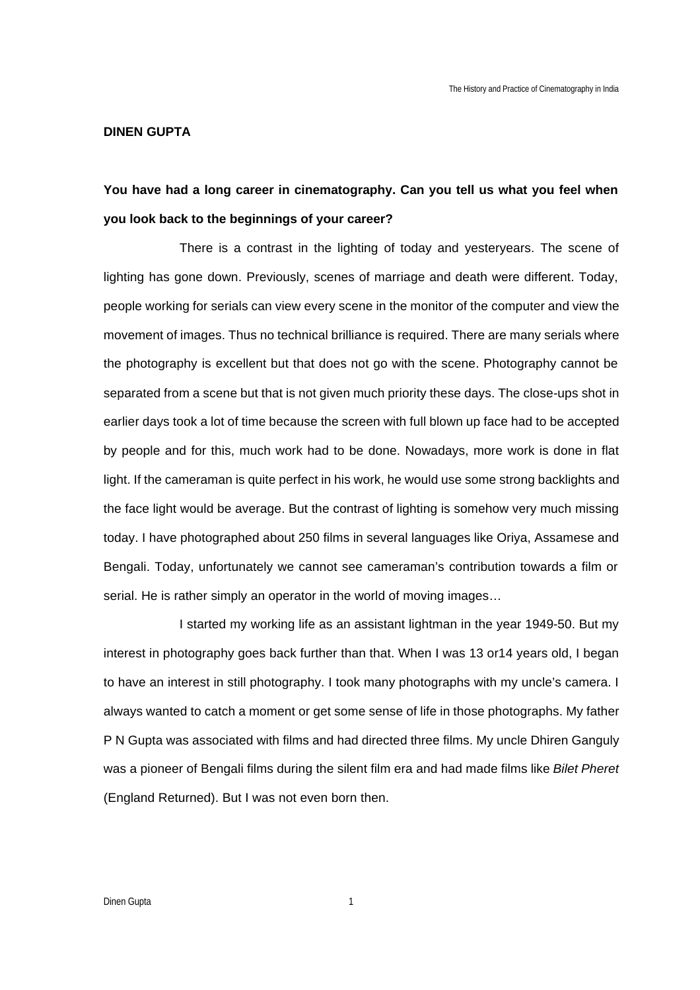## **DINEN GUPTA**

## **You have had a long career in cinematography. Can you tell us what you feel when you look back to the beginnings of your career?**

There is a contrast in the lighting of today and yesteryears. The scene of lighting has gone down. Previously, scenes of marriage and death were different. Today, people working for serials can view every scene in the monitor of the computer and view the movement of images. Thus no technical brilliance is required. There are many serials where the photography is excellent but that does not go with the scene. Photography cannot be separated from a scene but that is not given much priority these days. The close-ups shot in earlier days took a lot of time because the screen with full blown up face had to be accepted by people and for this, much work had to be done. Nowadays, more work is done in flat light. If the cameraman is quite perfect in his work, he would use some strong backlights and the face light would be average. But the contrast of lighting is somehow very much missing today. I have photographed about 250 films in several languages like Oriya, Assamese and Bengali. Today, unfortunately we cannot see cameraman's contribution towards a film or serial. He is rather simply an operator in the world of moving images…

I started my working life as an assistant lightman in the year 1949-50. But my interest in photography goes back further than that. When I was 13 or14 years old, I began to have an interest in still photography. I took many photographs with my uncle's camera. I always wanted to catch a moment or get some sense of life in those photographs. My father P N Gupta was associated with films and had directed three films. My uncle Dhiren Ganguly was a pioneer of Bengali films during the silent film era and had made films like *Bilet Pheret* (England Returned). But I was not even born then.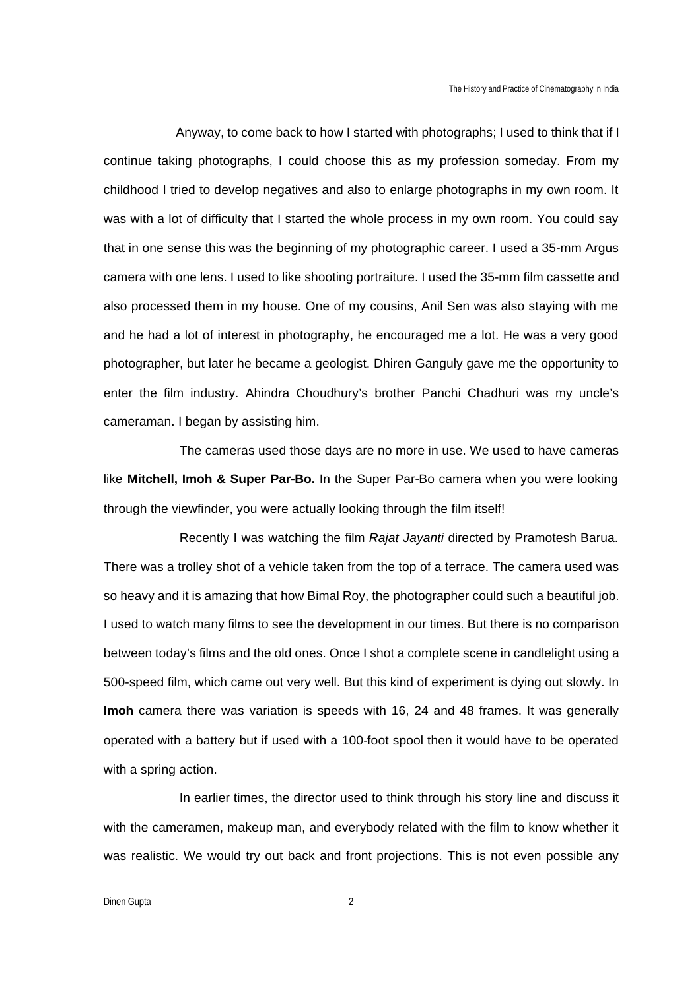Anyway, to come back to how I started with photographs; I used to think that if I continue taking photographs, I could choose this as my profession someday. From my childhood I tried to develop negatives and also to enlarge photographs in my own room. It was with a lot of difficulty that I started the whole process in my own room. You could say that in one sense this was the beginning of my photographic career. I used a 35-mm Argus camera with one lens. I used to like shooting portraiture. I used the 35-mm film cassette and also processed them in my house. One of my cousins, Anil Sen was also staying with me and he had a lot of interest in photography, he encouraged me a lot. He was a very good photographer, but later he became a geologist. Dhiren Ganguly gave me the opportunity to enter the film industry. Ahindra Choudhury's brother Panchi Chadhuri was my uncle's cameraman. I began by assisting him.

The cameras used those days are no more in use. We used to have cameras like **Mitchell, Imoh & Super Par-Bo.** In the Super Par-Bo camera when you were looking through the viewfinder, you were actually looking through the film itself!

Recently I was watching the film *Rajat Jayanti* directed by Pramotesh Barua. There was a trolley shot of a vehicle taken from the top of a terrace. The camera used was so heavy and it is amazing that how Bimal Roy, the photographer could such a beautiful job. I used to watch many films to see the development in our times. But there is no comparison between today's films and the old ones. Once I shot a complete scene in candlelight using a 500-speed film, which came out very well. But this kind of experiment is dying out slowly. In **Imoh** camera there was variation is speeds with 16, 24 and 48 frames. It was generally operated with a battery but if used with a 100-foot spool then it would have to be operated with a spring action.

In earlier times, the director used to think through his story line and discuss it with the cameramen, makeup man, and everybody related with the film to know whether it was realistic. We would try out back and front projections. This is not even possible any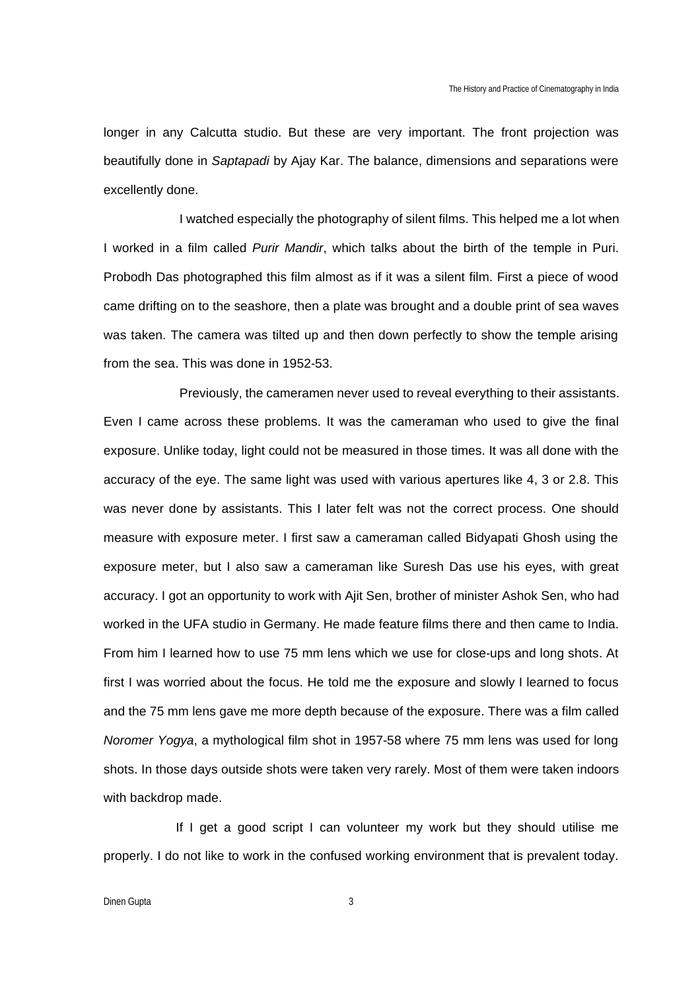longer in any Calcutta studio. But these are very important. The front projection was beautifully done in *Saptapadi* by Ajay Kar. The balance, dimensions and separations were excellently done.

I watched especially the photography of silent films. This helped me a lot when I worked in a film called *Purir Mandir*, which talks about the birth of the temple in Puri. Probodh Das photographed this film almost as if it was a silent film. First a piece of wood came drifting on to the seashore, then a plate was brought and a double print of sea waves was taken. The camera was tilted up and then down perfectly to show the temple arising from the sea. This was done in 1952-53.

Previously, the cameramen never used to reveal everything to their assistants. Even I came across these problems. It was the cameraman who used to give the final exposure. Unlike today, light could not be measured in those times. It was all done with the accuracy of the eye. The same light was used with various apertures like 4, 3 or 2.8. This was never done by assistants. This I later felt was not the correct process. One should measure with exposure meter. I first saw a cameraman called Bidyapati Ghosh using the exposure meter, but I also saw a cameraman like Suresh Das use his eyes, with great accuracy. I got an opportunity to work with Ajit Sen, brother of minister Ashok Sen, who had worked in the UFA studio in Germany. He made feature films there and then came to India. From him I learned how to use 75 mm lens which we use for close-ups and long shots. At first I was worried about the focus. He told me the exposure and slowly I learned to focus and the 75 mm lens gave me more depth because of the exposure. There was a film called *Noromer Yogya*, a mythological film shot in 1957-58 where 75 mm lens was used for long shots. In those days outside shots were taken very rarely. Most of them were taken indoors with backdrop made.

If I get a good script I can volunteer my work but they should utilise me properly. I do not like to work in the confused working environment that is prevalent today.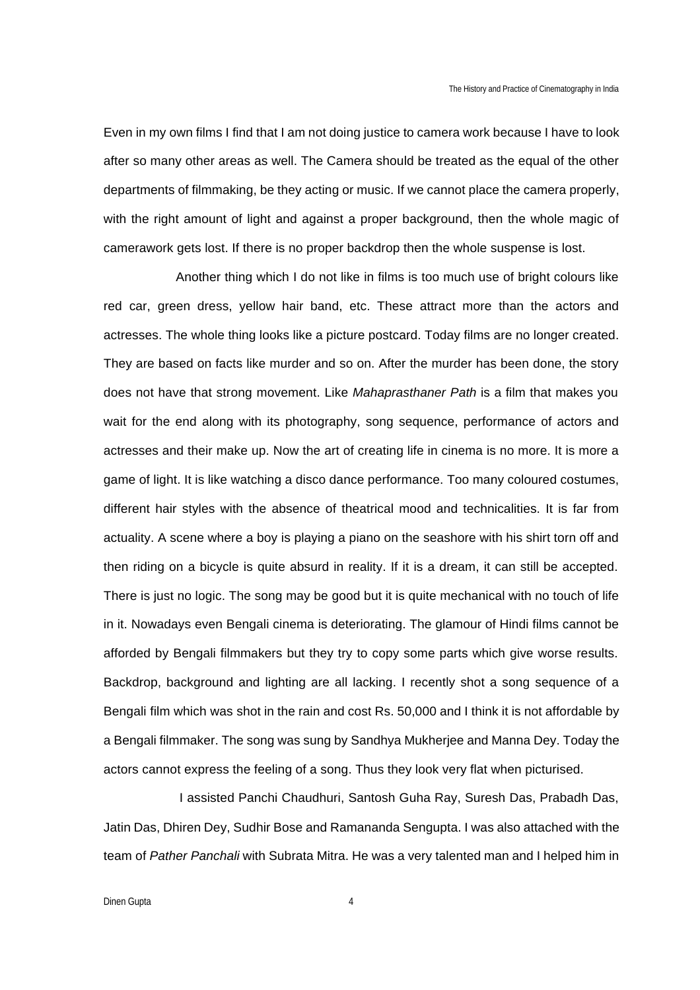Even in my own films I find that I am not doing justice to camera work because I have to look after so many other areas as well. The Camera should be treated as the equal of the other departments of filmmaking, be they acting or music. If we cannot place the camera properly, with the right amount of light and against a proper background, then the whole magic of camerawork gets lost. If there is no proper backdrop then the whole suspense is lost.

Another thing which I do not like in films is too much use of bright colours like red car, green dress, yellow hair band, etc. These attract more than the actors and actresses. The whole thing looks like a picture postcard. Today films are no longer created. They are based on facts like murder and so on. After the murder has been done, the story does not have that strong movement. Like *Mahaprasthaner Path* is a film that makes you wait for the end along with its photography, song sequence, performance of actors and actresses and their make up. Now the art of creating life in cinema is no more. It is more a game of light. It is like watching a disco dance performance. Too many coloured costumes, different hair styles with the absence of theatrical mood and technicalities. It is far from actuality. A scene where a boy is playing a piano on the seashore with his shirt torn off and then riding on a bicycle is quite absurd in reality. If it is a dream, it can still be accepted. There is just no logic. The song may be good but it is quite mechanical with no touch of life in it. Nowadays even Bengali cinema is deteriorating. The glamour of Hindi films cannot be afforded by Bengali filmmakers but they try to copy some parts which give worse results. Backdrop, background and lighting are all lacking. I recently shot a song sequence of a Bengali film which was shot in the rain and cost Rs. 50,000 and I think it is not affordable by a Bengali filmmaker. The song was sung by Sandhya Mukherjee and Manna Dey. Today the actors cannot express the feeling of a song. Thus they look very flat when picturised.

I assisted Panchi Chaudhuri, Santosh Guha Ray, Suresh Das, Prabadh Das, Jatin Das, Dhiren Dey, Sudhir Bose and Ramananda Sengupta. I was also attached with the team of *Pather Panchali* with Subrata Mitra. He was a very talented man and I helped him in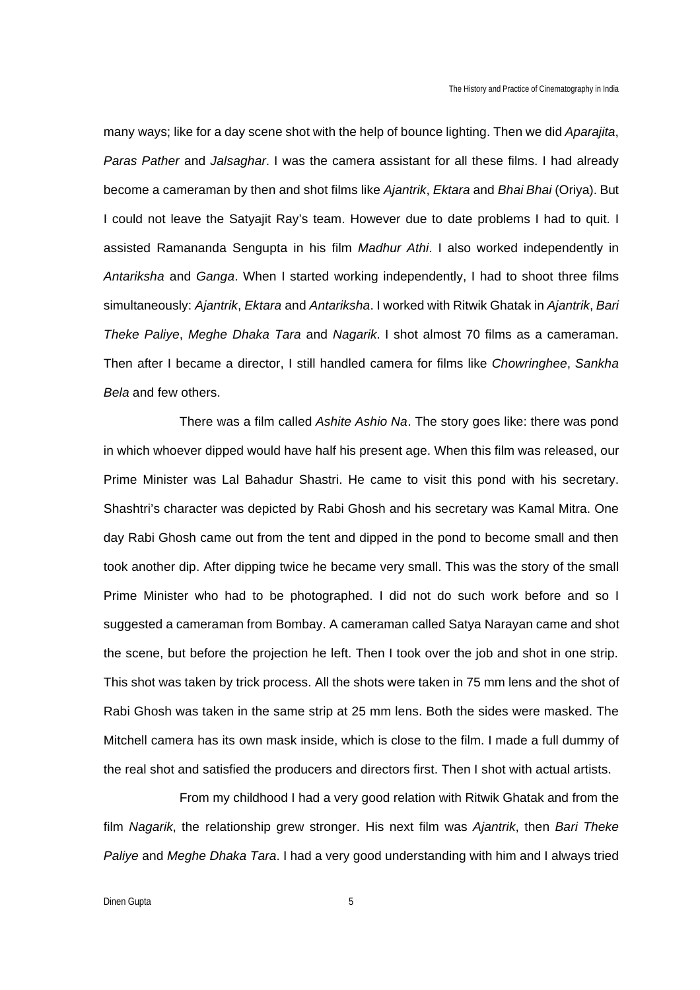many ways; like for a day scene shot with the help of bounce lighting. Then we did *Aparajita*, *Paras Pather* and *Jalsaghar*. I was the camera assistant for all these films. I had already become a cameraman by then and shot films like *Ajantrik*, *Ektara* and *Bhai Bhai* (Oriya). But I could not leave the Satyajit Ray's team. However due to date problems I had to quit. I assisted Ramananda Sengupta in his film *Madhur Athi*. I also worked independently in *Antariksha* and *Ganga*. When I started working independently, I had to shoot three films simultaneously: *Ajantrik*, *Ektara* and *Antariksha*. I worked with Ritwik Ghatak in *Ajantrik*, *Bari Theke Paliye*, *Meghe Dhaka Tara* and *Nagarik*. I shot almost 70 films as a cameraman. Then after I became a director, I still handled camera for films like *Chowringhee*, *Sankha Bela* and few others.

There was a film called *Ashite Ashio Na*. The story goes like: there was pond in which whoever dipped would have half his present age. When this film was released, our Prime Minister was Lal Bahadur Shastri. He came to visit this pond with his secretary. Shashtri's character was depicted by Rabi Ghosh and his secretary was Kamal Mitra. One day Rabi Ghosh came out from the tent and dipped in the pond to become small and then took another dip. After dipping twice he became very small. This was the story of the small Prime Minister who had to be photographed. I did not do such work before and so I suggested a cameraman from Bombay. A cameraman called Satya Narayan came and shot the scene, but before the projection he left. Then I took over the job and shot in one strip. This shot was taken by trick process. All the shots were taken in 75 mm lens and the shot of Rabi Ghosh was taken in the same strip at 25 mm lens. Both the sides were masked. The Mitchell camera has its own mask inside, which is close to the film. I made a full dummy of the real shot and satisfied the producers and directors first. Then I shot with actual artists.

From my childhood I had a very good relation with Ritwik Ghatak and from the film *Nagarik*, the relationship grew stronger. His next film was *Ajantrik*, then *Bari Theke Paliye* and *Meghe Dhaka Tara*. I had a very good understanding with him and I always tried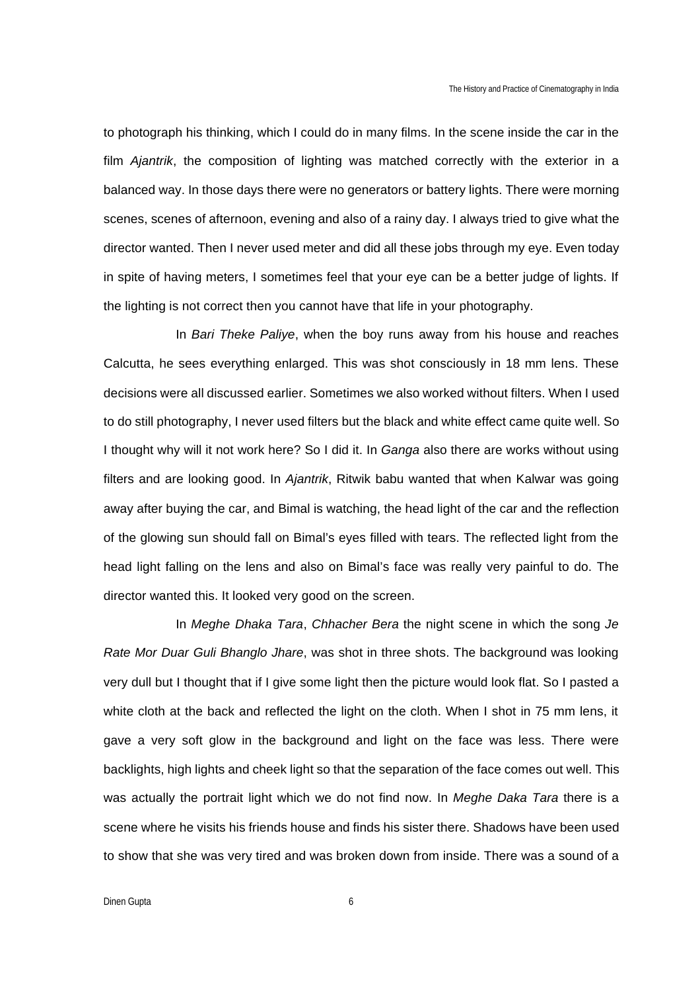to photograph his thinking, which I could do in many films. In the scene inside the car in the film *Ajantrik*, the composition of lighting was matched correctly with the exterior in a balanced way. In those days there were no generators or battery lights. There were morning scenes, scenes of afternoon, evening and also of a rainy day. I always tried to give what the director wanted. Then I never used meter and did all these jobs through my eye. Even today in spite of having meters, I sometimes feel that your eye can be a better judge of lights. If the lighting is not correct then you cannot have that life in your photography.

In *Bari Theke Paliye*, when the boy runs away from his house and reaches Calcutta, he sees everything enlarged. This was shot consciously in 18 mm lens. These decisions were all discussed earlier. Sometimes we also worked without filters. When I used to do still photography, I never used filters but the black and white effect came quite well. So I thought why will it not work here? So I did it. In *Ganga* also there are works without using filters and are looking good. In *Ajantrik*, Ritwik babu wanted that when Kalwar was going away after buying the car, and Bimal is watching, the head light of the car and the reflection of the glowing sun should fall on Bimal's eyes filled with tears. The reflected light from the head light falling on the lens and also on Bimal's face was really very painful to do. The director wanted this. It looked very good on the screen.

In *Meghe Dhaka Tara*, *Chhacher Bera* the night scene in which the song *Je Rate Mor Duar Guli Bhanglo Jhare*, was shot in three shots. The background was looking very dull but I thought that if I give some light then the picture would look flat. So I pasted a white cloth at the back and reflected the light on the cloth. When I shot in 75 mm lens, it gave a very soft glow in the background and light on the face was less. There were backlights, high lights and cheek light so that the separation of the face comes out well. This was actually the portrait light which we do not find now. In *Meghe Daka Tara* there is a scene where he visits his friends house and finds his sister there. Shadows have been used to show that she was very tired and was broken down from inside. There was a sound of a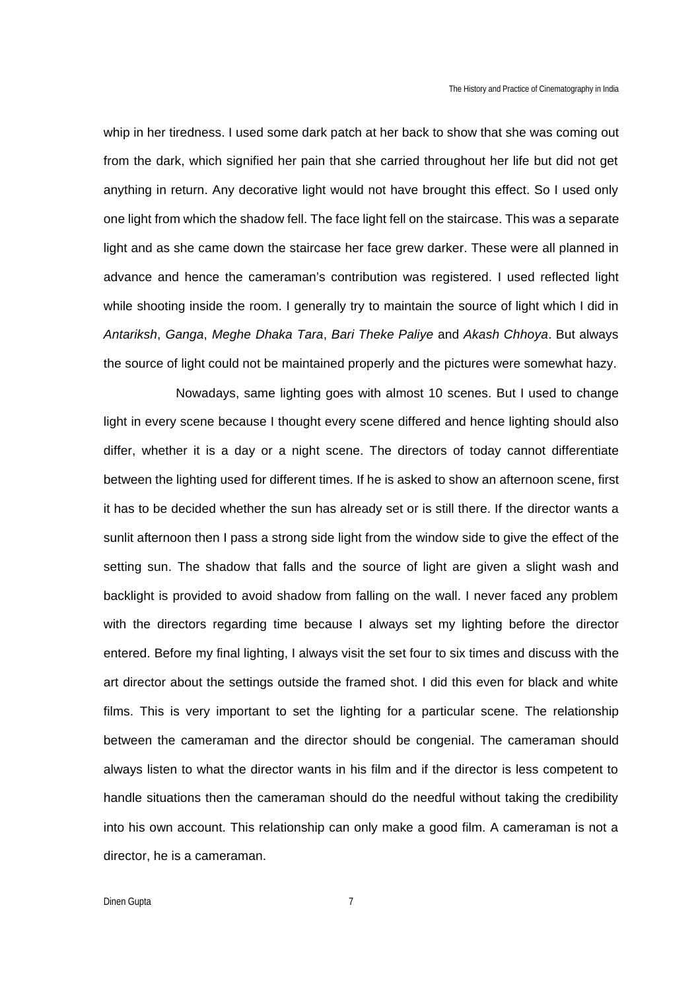whip in her tiredness. I used some dark patch at her back to show that she was coming out from the dark, which signified her pain that she carried throughout her life but did not get anything in return. Any decorative light would not have brought this effect. So I used only one light from which the shadow fell. The face light fell on the staircase. This was a separate light and as she came down the staircase her face grew darker. These were all planned in advance and hence the cameraman's contribution was registered. I used reflected light while shooting inside the room. I generally try to maintain the source of light which I did in *Antariksh*, *Ganga*, *Meghe Dhaka Tara*, *Bari Theke Paliye* and *Akash Chhoya*. But always the source of light could not be maintained properly and the pictures were somewhat hazy.

Nowadays, same lighting goes with almost 10 scenes. But I used to change light in every scene because I thought every scene differed and hence lighting should also differ, whether it is a day or a night scene. The directors of today cannot differentiate between the lighting used for different times. If he is asked to show an afternoon scene, first it has to be decided whether the sun has already set or is still there. If the director wants a sunlit afternoon then I pass a strong side light from the window side to give the effect of the setting sun. The shadow that falls and the source of light are given a slight wash and backlight is provided to avoid shadow from falling on the wall. I never faced any problem with the directors regarding time because I always set my lighting before the director entered. Before my final lighting, I always visit the set four to six times and discuss with the art director about the settings outside the framed shot. I did this even for black and white films. This is very important to set the lighting for a particular scene. The relationship between the cameraman and the director should be congenial. The cameraman should always listen to what the director wants in his film and if the director is less competent to handle situations then the cameraman should do the needful without taking the credibility into his own account. This relationship can only make a good film. A cameraman is not a director, he is a cameraman.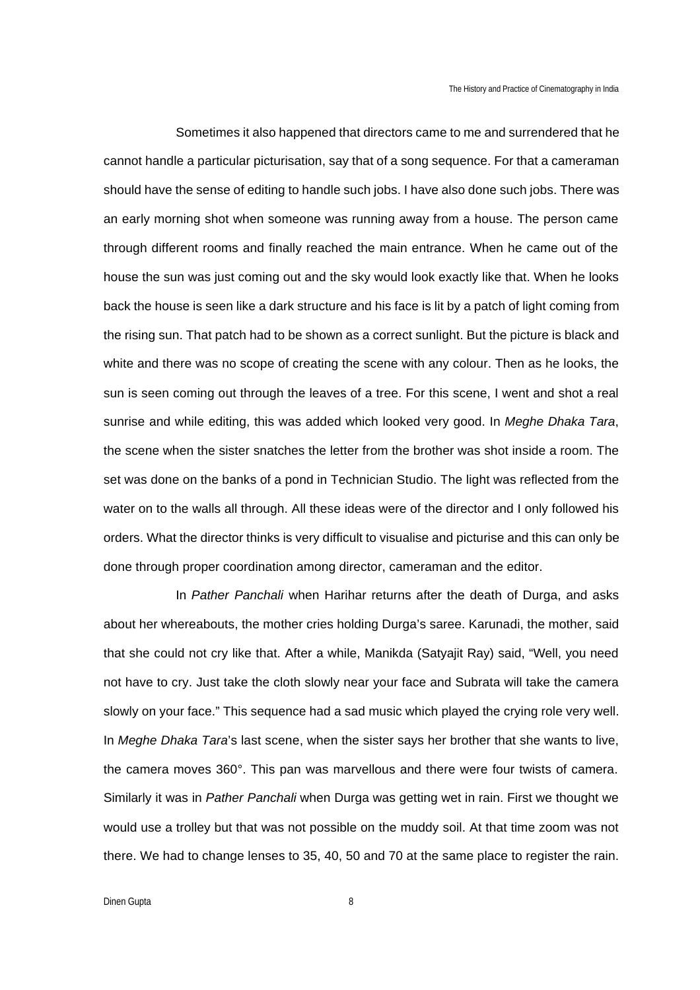Sometimes it also happened that directors came to me and surrendered that he cannot handle a particular picturisation, say that of a song sequence. For that a cameraman should have the sense of editing to handle such jobs. I have also done such jobs. There was an early morning shot when someone was running away from a house. The person came through different rooms and finally reached the main entrance. When he came out of the house the sun was just coming out and the sky would look exactly like that. When he looks back the house is seen like a dark structure and his face is lit by a patch of light coming from the rising sun. That patch had to be shown as a correct sunlight. But the picture is black and white and there was no scope of creating the scene with any colour. Then as he looks, the sun is seen coming out through the leaves of a tree. For this scene, I went and shot a real sunrise and while editing, this was added which looked very good. In *Meghe Dhaka Tara*, the scene when the sister snatches the letter from the brother was shot inside a room. The set was done on the banks of a pond in Technician Studio. The light was reflected from the water on to the walls all through. All these ideas were of the director and I only followed his orders. What the director thinks is very difficult to visualise and picturise and this can only be done through proper coordination among director, cameraman and the editor.

In *Pather Panchali* when Harihar returns after the death of Durga, and asks about her whereabouts, the mother cries holding Durga's saree. Karunadi, the mother, said that she could not cry like that. After a while, Manikda (Satyajit Ray) said, "Well, you need not have to cry. Just take the cloth slowly near your face and Subrata will take the camera slowly on your face." This sequence had a sad music which played the crying role very well. In *Meghe Dhaka Tara*'s last scene, when the sister says her brother that she wants to live, the camera moves 360°. This pan was marvellous and there were four twists of camera. Similarly it was in *Pather Panchali* when Durga was getting wet in rain. First we thought we would use a trolley but that was not possible on the muddy soil. At that time zoom was not there. We had to change lenses to 35, 40, 50 and 70 at the same place to register the rain.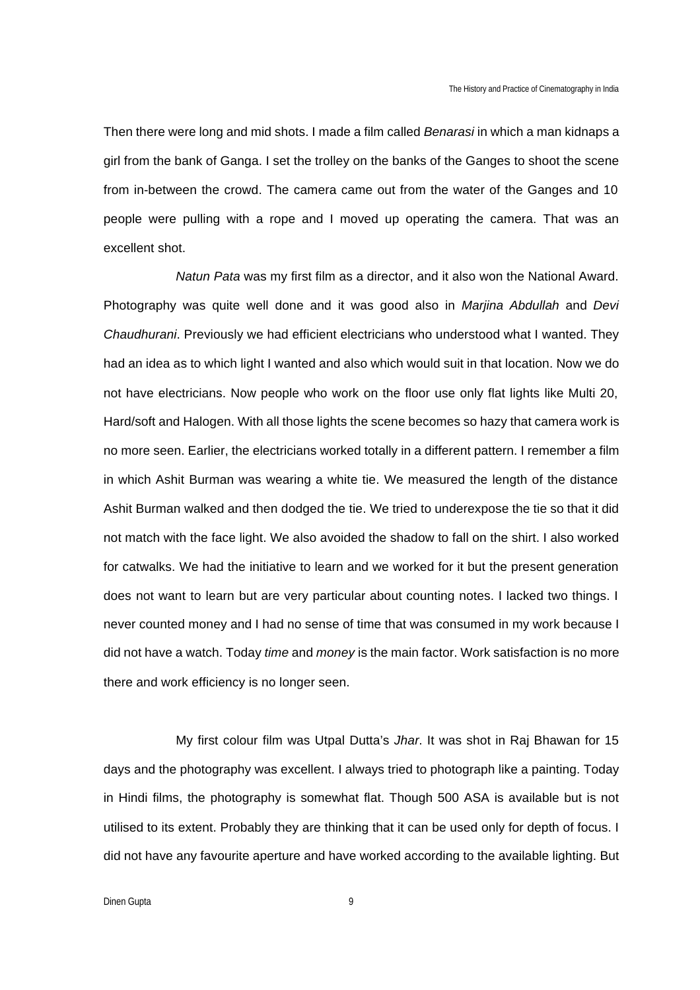Then there were long and mid shots. I made a film called *Benarasi* in which a man kidnaps a girl from the bank of Ganga. I set the trolley on the banks of the Ganges to shoot the scene from in-between the crowd. The camera came out from the water of the Ganges and 10 people were pulling with a rope and I moved up operating the camera. That was an excellent shot.

*Natun Pata* was my first film as a director, and it also won the National Award. Photography was quite well done and it was good also in *Marjina Abdullah* and *Devi Chaudhurani*. Previously we had efficient electricians who understood what I wanted. They had an idea as to which light I wanted and also which would suit in that location. Now we do not have electricians. Now people who work on the floor use only flat lights like Multi 20, Hard/soft and Halogen. With all those lights the scene becomes so hazy that camera work is no more seen. Earlier, the electricians worked totally in a different pattern. I remember a film in which Ashit Burman was wearing a white tie. We measured the length of the distance Ashit Burman walked and then dodged the tie. We tried to underexpose the tie so that it did not match with the face light. We also avoided the shadow to fall on the shirt. I also worked for catwalks. We had the initiative to learn and we worked for it but the present generation does not want to learn but are very particular about counting notes. I lacked two things. I never counted money and I had no sense of time that was consumed in my work because I did not have a watch. Today *time* and *money* is the main factor. Work satisfaction is no more there and work efficiency is no longer seen.

My first colour film was Utpal Dutta's *Jhar*. It was shot in Raj Bhawan for 15 days and the photography was excellent. I always tried to photograph like a painting. Today in Hindi films, the photography is somewhat flat. Though 500 ASA is available but is not utilised to its extent. Probably they are thinking that it can be used only for depth of focus. I did not have any favourite aperture and have worked according to the available lighting. But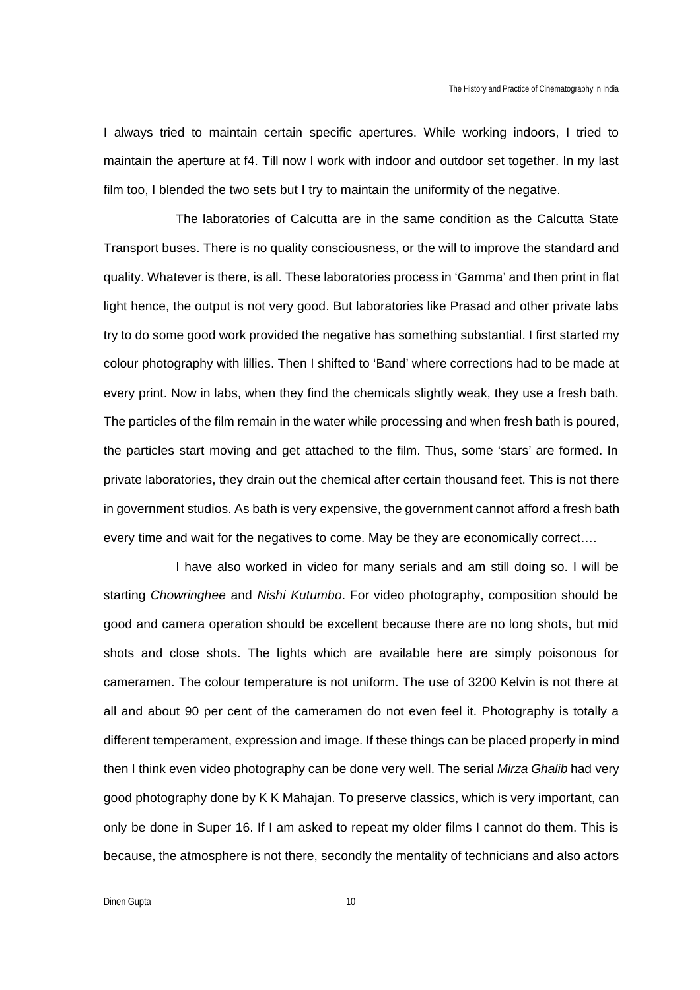I always tried to maintain certain specific apertures. While working indoors, I tried to maintain the aperture at f4. Till now I work with indoor and outdoor set together. In my last film too, I blended the two sets but I try to maintain the uniformity of the negative.

The laboratories of Calcutta are in the same condition as the Calcutta State Transport buses. There is no quality consciousness, or the will to improve the standard and quality. Whatever is there, is all. These laboratories process in 'Gamma' and then print in flat light hence, the output is not very good. But laboratories like Prasad and other private labs try to do some good work provided the negative has something substantial. I first started my colour photography with lillies. Then I shifted to 'Band' where corrections had to be made at every print. Now in labs, when they find the chemicals slightly weak, they use a fresh bath. The particles of the film remain in the water while processing and when fresh bath is poured, the particles start moving and get attached to the film. Thus, some 'stars' are formed. In private laboratories, they drain out the chemical after certain thousand feet. This is not there in government studios. As bath is very expensive, the government cannot afford a fresh bath every time and wait for the negatives to come. May be they are economically correct….

I have also worked in video for many serials and am still doing so. I will be starting *Chowringhee* and *Nishi Kutumbo*. For video photography, composition should be good and camera operation should be excellent because there are no long shots, but mid shots and close shots. The lights which are available here are simply poisonous for cameramen. The colour temperature is not uniform. The use of 3200 Kelvin is not there at all and about 90 per cent of the cameramen do not even feel it. Photography is totally a different temperament, expression and image. If these things can be placed properly in mind then I think even video photography can be done very well. The serial *Mirza Ghalib* had very good photography done by K K Mahajan. To preserve classics, which is very important, can only be done in Super 16. If I am asked to repeat my older films I cannot do them. This is because, the atmosphere is not there, secondly the mentality of technicians and also actors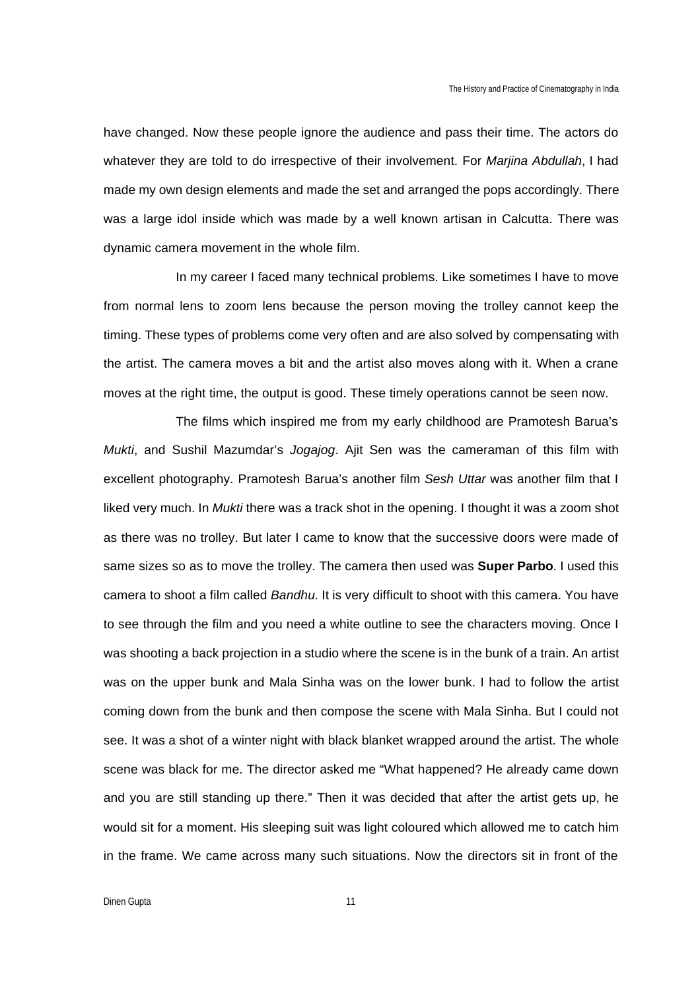have changed. Now these people ignore the audience and pass their time. The actors do whatever they are told to do irrespective of their involvement. For *Marjina Abdullah*, I had made my own design elements and made the set and arranged the pops accordingly. There was a large idol inside which was made by a well known artisan in Calcutta. There was dynamic camera movement in the whole film.

In my career I faced many technical problems. Like sometimes I have to move from normal lens to zoom lens because the person moving the trolley cannot keep the timing. These types of problems come very often and are also solved by compensating with the artist. The camera moves a bit and the artist also moves along with it. When a crane moves at the right time, the output is good. These timely operations cannot be seen now.

The films which inspired me from my early childhood are Pramotesh Barua's *Mukti*, and Sushil Mazumdar's *Jogajog*. Ajit Sen was the cameraman of this film with excellent photography. Pramotesh Barua's another film *Sesh Uttar* was another film that I liked very much. In *Mukti* there was a track shot in the opening. I thought it was a zoom shot as there was no trolley. But later I came to know that the successive doors were made of same sizes so as to move the trolley. The camera then used was **Super Parbo**. I used this camera to shoot a film called *Bandhu*. It is very difficult to shoot with this camera. You have to see through the film and you need a white outline to see the characters moving. Once I was shooting a back projection in a studio where the scene is in the bunk of a train. An artist was on the upper bunk and Mala Sinha was on the lower bunk. I had to follow the artist coming down from the bunk and then compose the scene with Mala Sinha. But I could not see. It was a shot of a winter night with black blanket wrapped around the artist. The whole scene was black for me. The director asked me "What happened? He already came down and you are still standing up there." Then it was decided that after the artist gets up, he would sit for a moment. His sleeping suit was light coloured which allowed me to catch him in the frame. We came across many such situations. Now the directors sit in front of the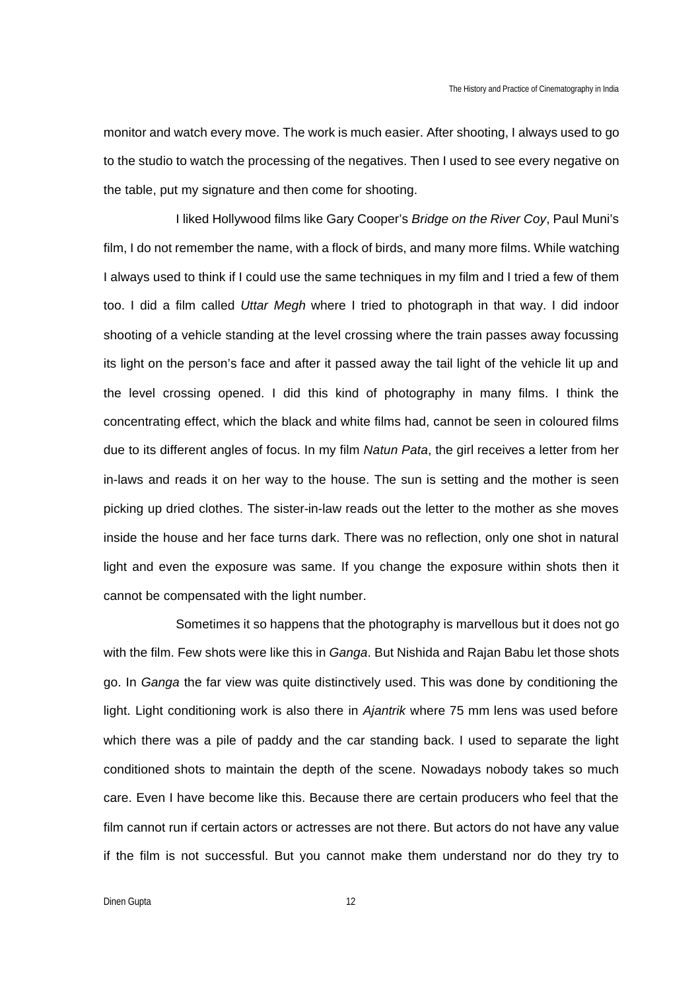monitor and watch every move. The work is much easier. After shooting, I always used to go to the studio to watch the processing of the negatives. Then I used to see every negative on the table, put my signature and then come for shooting.

I liked Hollywood films like Gary Cooper's *Bridge on the River Coy*, Paul Muni's film, I do not remember the name, with a flock of birds, and many more films. While watching I always used to think if I could use the same techniques in my film and I tried a few of them too. I did a film called *Uttar Megh* where I tried to photograph in that way. I did indoor shooting of a vehicle standing at the level crossing where the train passes away focussing its light on the person's face and after it passed away the tail light of the vehicle lit up and the level crossing opened. I did this kind of photography in many films. I think the concentrating effect, which the black and white films had, cannot be seen in coloured films due to its different angles of focus. In my film *Natun Pata*, the girl receives a letter from her in-laws and reads it on her way to the house. The sun is setting and the mother is seen picking up dried clothes. The sister-in-law reads out the letter to the mother as she moves inside the house and her face turns dark. There was no reflection, only one shot in natural light and even the exposure was same. If you change the exposure within shots then it cannot be compensated with the light number.

Sometimes it so happens that the photography is marvellous but it does not go with the film. Few shots were like this in *Ganga*. But Nishida and Rajan Babu let those shots go. In *Ganga* the far view was quite distinctively used. This was done by conditioning the light. Light conditioning work is also there in *Ajantrik* where 75 mm lens was used before which there was a pile of paddy and the car standing back. I used to separate the light conditioned shots to maintain the depth of the scene. Nowadays nobody takes so much care. Even I have become like this. Because there are certain producers who feel that the film cannot run if certain actors or actresses are not there. But actors do not have any value if the film is not successful. But you cannot make them understand nor do they try to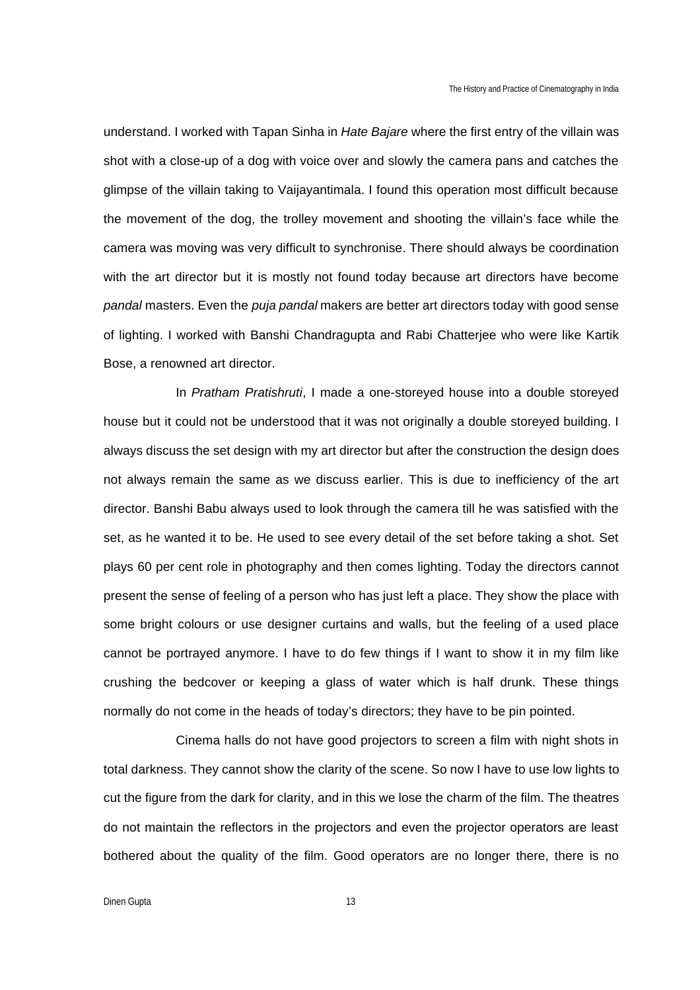understand. I worked with Tapan Sinha in *Hate Bajare* where the first entry of the villain was shot with a close-up of a dog with voice over and slowly the camera pans and catches the glimpse of the villain taking to Vaijayantimala. I found this operation most difficult because the movement of the dog, the trolley movement and shooting the villain's face while the camera was moving was very difficult to synchronise. There should always be coordination with the art director but it is mostly not found today because art directors have become *pandal* masters. Even the *puja pandal* makers are better art directors today with good sense of lighting. I worked with Banshi Chandragupta and Rabi Chatterjee who were like Kartik Bose, a renowned art director.

In *Pratham Pratishruti*, I made a one-storeyed house into a double storeyed house but it could not be understood that it was not originally a double storeyed building. I always discuss the set design with my art director but after the construction the design does not always remain the same as we discuss earlier. This is due to inefficiency of the art director. Banshi Babu always used to look through the camera till he was satisfied with the set, as he wanted it to be. He used to see every detail of the set before taking a shot. Set plays 60 per cent role in photography and then comes lighting. Today the directors cannot present the sense of feeling of a person who has just left a place. They show the place with some bright colours or use designer curtains and walls, but the feeling of a used place cannot be portrayed anymore. I have to do few things if I want to show it in my film like crushing the bedcover or keeping a glass of water which is half drunk. These things normally do not come in the heads of today's directors; they have to be pin pointed.

Cinema halls do not have good projectors to screen a film with night shots in total darkness. They cannot show the clarity of the scene. So now I have to use low lights to cut the figure from the dark for clarity, and in this we lose the charm of the film. The theatres do not maintain the reflectors in the projectors and even the projector operators are least bothered about the quality of the film. Good operators are no longer there, there is no